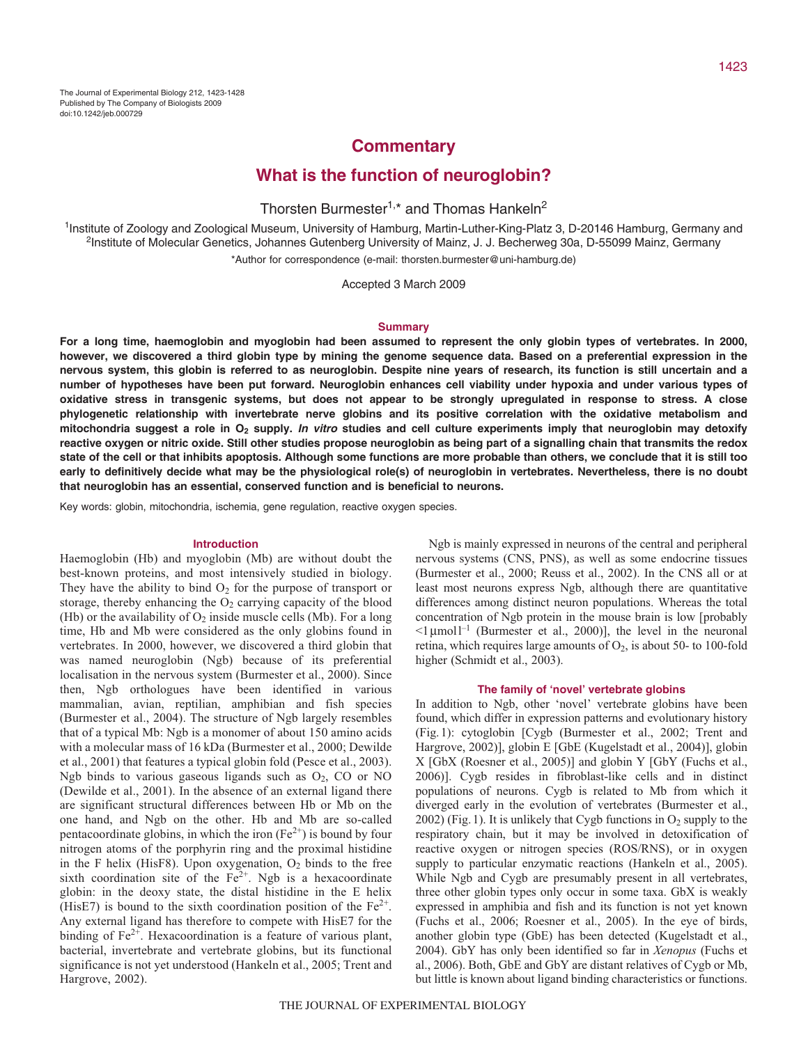## **Commentary**

# **What is the function of neuroglobin?**

# Thorsten Burmester<sup>1,\*</sup> and Thomas Hankeln<sup>2</sup>

1Institute of Zoology and Zoological Museum, University of Hamburg, Martin-Luther-King-Platz 3, D-20146 Hamburg, Germany and <sup>2</sup>Institute of Molecular Genetics, Johannes Gutenberg University of Mainz, J. J. Becherweg 30a, D-55099 Mainz, Germany \*Author for correspondence (e-mail: thorsten.burmester@uni-hamburg.de)

Accepted 3 March 2009

#### **Summary**

**For a long time, haemoglobin and myoglobin had been assumed to represent the only globin types of vertebrates. In 2000, however, we discovered a third globin type by mining the genome sequence data. Based on a preferential expression in the nervous system, this globin is referred to as neuroglobin. Despite nine years of research, its function is still uncertain and a number of hypotheses have been put forward. Neuroglobin enhances cell viability under hypoxia and under various types of oxidative stress in transgenic systems, but does not appear to be strongly upregulated in response to stress. A close phylogenetic relationship with invertebrate nerve globins and its positive correlation with the oxidative metabolism and mitochondria suggest a role in O2 supply. In vitro studies and cell culture experiments imply that neuroglobin may detoxify reactive oxygen or nitric oxide. Still other studies propose neuroglobin as being part of a signalling chain that transmits the redox state of the cell or that inhibits apoptosis. Although some functions are more probable than others, we conclude that it is still too early to definitively decide what may be the physiological role(s) of neuroglobin in vertebrates. Nevertheless, there is no doubt that neuroglobin has an essential, conserved function and is beneficial to neurons.**

Key words: globin, mitochondria, ischemia, gene regulation, reactive oxygen species.

## **Introduction**

Haemoglobin (Hb) and myoglobin (Mb) are without doubt the best-known proteins, and most intensively studied in biology. They have the ability to bind  $O_2$  for the purpose of transport or storage, thereby enhancing the  $O<sub>2</sub>$  carrying capacity of the blood (Hb) or the availability of  $O_2$  inside muscle cells (Mb). For a long time, Hb and Mb were considered as the only globins found in vertebrates. In 2000, however, we discovered a third globin that was named neuroglobin (Ngb) because of its preferential localisation in the nervous system (Burmester et al., 2000). Since then, Ngb orthologues have been identified in various mammalian, avian, reptilian, amphibian and fish species (Burmester et al., 2004). The structure of Ngb largely resembles that of a typical Mb: Ngb is a monomer of about 150 amino acids with a molecular mass of 16 kDa (Burmester et al., 2000; Dewilde et al., 2001) that features a typical globin fold (Pesce et al., 2003). Ngb binds to various gaseous ligands such as  $O<sub>2</sub>$ , CO or NO (Dewilde et al., 2001). In the absence of an external ligand there are significant structural differences between Hb or Mb on the one hand, and Ngb on the other. Hb and Mb are so-called pentacoordinate globins, in which the iron  $(Fe^{2+})$  is bound by four nitrogen atoms of the porphyrin ring and the proximal histidine in the F helix (HisF8). Upon oxygenation,  $O_2$  binds to the free sixth coordination site of the  $Fe<sup>2+</sup>$ . Ngb is a hexacoordinate globin: in the deoxy state, the distal histidine in the E helix (HisE7) is bound to the sixth coordination position of the  $Fe^{2+}$ . Any external ligand has therefore to compete with HisE7 for the binding of  $Fe^{2+}$ . Hexacoordination is a feature of various plant, bacterial, invertebrate and vertebrate globins, but its functional significance is not yet understood (Hankeln et al., 2005; Trent and Hargrove, 2002).

Ngb is mainly expressed in neurons of the central and peripheral nervous systems (CNS, PNS), as well as some endocrine tissues (Burmester et al., 2000; Reuss et al., 2002). In the CNS all or at least most neurons express Ngb, although there are quantitative differences among distinct neuron populations. Whereas the total concentration of Ngb protein in the mouse brain is low [probably  $\leq$ 1 µmol<sup>1-1</sup> (Burmester et al., 2000)], the level in the neuronal retina, which requires large amounts of  $O_2$ , is about 50- to 100-fold higher (Schmidt et al., 2003).

## **The family of 'novel' vertebrate globins**

In addition to Ngb, other 'novel' vertebrate globins have been found, which differ in expression patterns and evolutionary history (Fig.1): cytoglobin [Cygb (Burmester et al., 2002; Trent and Hargrove, 2002)], globin E [GbE (Kugelstadt et al., 2004)], globin X [GbX (Roesner et al., 2005)] and globin Y [GbY (Fuchs et al., 2006)]. Cygb resides in fibroblast-like cells and in distinct populations of neurons. Cygb is related to Mb from which it diverged early in the evolution of vertebrates (Burmester et al.,  $2002$ ) (Fig. 1). It is unlikely that Cygb functions in  $O<sub>2</sub>$  supply to the respiratory chain, but it may be involved in detoxification of reactive oxygen or nitrogen species (ROS/RNS), or in oxygen supply to particular enzymatic reactions (Hankeln et al., 2005). While Ngb and Cygb are presumably present in all vertebrates, three other globin types only occur in some taxa. GbX is weakly expressed in amphibia and fish and its function is not yet known (Fuchs et al., 2006; Roesner et al., 2005). In the eye of birds, another globin type (GbE) has been detected (Kugelstadt et al., 2004). GbY has only been identified so far in *Xenopus* (Fuchs et al., 2006). Both, GbE and GbY are distant relatives of Cygb or Mb, but little is known about ligand binding characteristics or functions.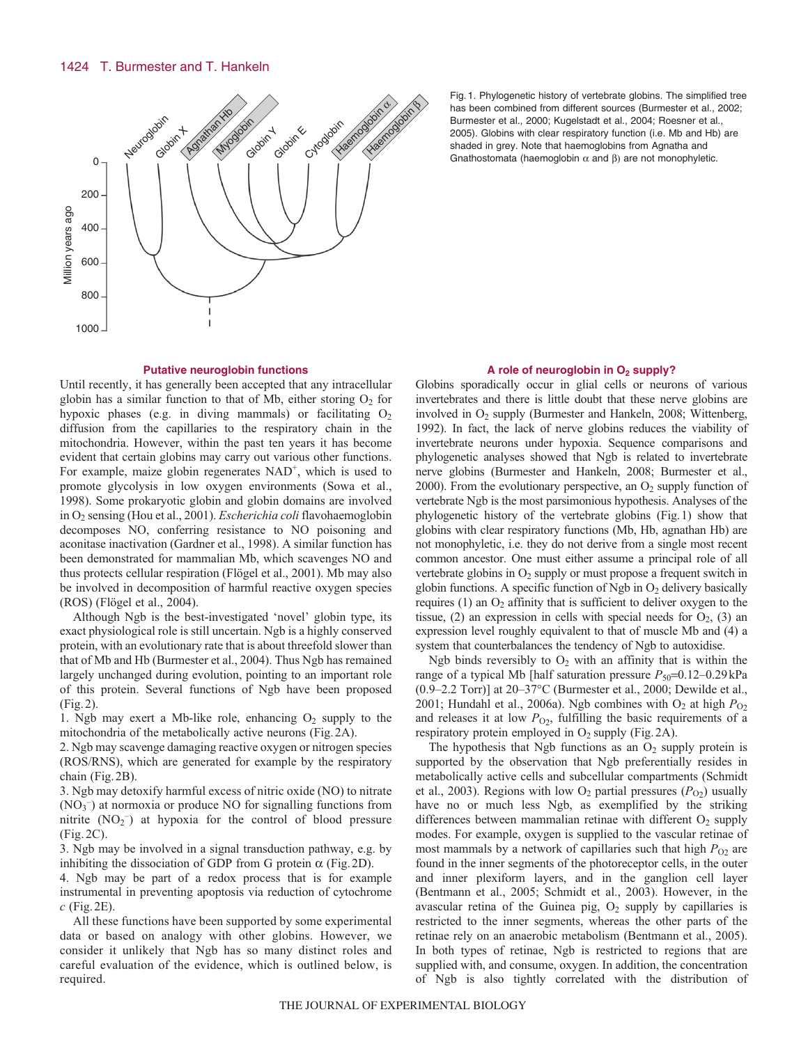

Fig. 1. Phylogenetic history of vertebrate globins. The simplified tree has been combined from different sources (Burmester et al., 2002; Burmester et al., 2000; Kugelstadt et al., 2004; Roesner et al., 2005). Globins with clear respiratory function (i.e. Mb and Hb) are shaded in grey. Note that haemoglobins from Agnatha and Gnathostomata (haemoglobin  $\alpha$  and  $\beta$ ) are not monophyletic.

#### **Putative neuroglobin functions**

Until recently, it has generally been accepted that any intracellular globin has a similar function to that of Mb, either storing  $O_2$  for hypoxic phases (e.g. in diving mammals) or facilitating  $O_2$ diffusion from the capillaries to the respiratory chain in the mitochondria. However, within the past ten years it has become evident that certain globins may carry out various other functions. For example, maize globin regenerates  $NAD<sup>+</sup>$ , which is used to promote glycolysis in low oxygen environments (Sowa et al., 1998). Some prokaryotic globin and globin domains are involved in O2 sensing (Hou et al., 2001). *Escherichia coli* flavohaemoglobin decomposes NO, conferring resistance to NO poisoning and aconitase inactivation (Gardner et al., 1998). A similar function has been demonstrated for mammalian Mb, which scavenges NO and thus protects cellular respiration (Flögel et al., 2001). Mb may also be involved in decomposition of harmful reactive oxygen species (ROS) (Flögel et al., 2004).

Although Ngb is the best-investigated 'novel' globin type, its exact physiological role is still uncertain. Ngb is a highly conserved protein, with an evolutionary rate that is about threefold slower than that of Mb and Hb (Burmester et al., 2004). Thus Ngb has remained largely unchanged during evolution, pointing to an important role of this protein. Several functions of Ngb have been proposed (Fig.2).

1. Ngb may exert a Mb-like role, enhancing  $O_2$  supply to the mitochondria of the metabolically active neurons (Fig.2A).

2. Ngb may scavenge damaging reactive oxygen or nitrogen species (ROS/RNS), which are generated for example by the respiratory chain (Fig.2B).

3. Ngb may detoxify harmful excess of nitric oxide (NO) to nitrate (NO3 – ) at normoxia or produce NO for signalling functions from nitrite  $(NO<sub>2</sub><sup>-</sup>)$  at hypoxia for the control of blood pressure (Fig.2C).

3. Ngb may be involved in a signal transduction pathway, e.g. by inhibiting the dissociation of GDP from G protein  $\alpha$  (Fig. 2D).

4. Ngb may be part of a redox process that is for example instrumental in preventing apoptosis via reduction of cytochrome *c* (Fig.2E).

All these functions have been supported by some experimental data or based on analogy with other globins. However, we consider it unlikely that Ngb has so many distinct roles and careful evaluation of the evidence, which is outlined below, is required.

#### A role of neuroglobin in O<sub>2</sub> supply?

Globins sporadically occur in glial cells or neurons of various invertebrates and there is little doubt that these nerve globins are involved in  $O_2$  supply (Burmester and Hankeln, 2008; Wittenberg, 1992). In fact, the lack of nerve globins reduces the viability of invertebrate neurons under hypoxia. Sequence comparisons and phylogenetic analyses showed that Ngb is related to invertebrate nerve globins (Burmester and Hankeln, 2008; Burmester et al., 2000). From the evolutionary perspective, an  $O_2$  supply function of vertebrate Ngb is the most parsimonious hypothesis. Analyses of the phylogenetic history of the vertebrate globins (Fig.1) show that globins with clear respiratory functions (Mb, Hb, agnathan Hb) are not monophyletic, i.e. they do not derive from a single most recent common ancestor. One must either assume a principal role of all vertebrate globins in  $O_2$  supply or must propose a frequent switch in globin functions. A specific function of Ngb in  $O_2$  delivery basically requires  $(1)$  an  $O_2$  affinity that is sufficient to deliver oxygen to the tissue, (2) an expression in cells with special needs for  $O_2$ , (3) an expression level roughly equivalent to that of muscle Mb and (4) a system that counterbalances the tendency of Ngb to autoxidise.

Ngb binds reversibly to  $O_2$  with an affinity that is within the range of a typical Mb [half saturation pressure  $P_{50}$ =0.12–0.29kPa (0.9–2.2 Torr)] at 20–37°C (Burmester et al., 2000; Dewilde et al., 2001; Hundahl et al., 2006a). Ngb combines with  $O_2$  at high  $P_{O2}$ and releases it at low  $P_{\text{O}_2}$ , fulfilling the basic requirements of a respiratory protein employed in O<sub>2</sub> supply (Fig. 2A).

The hypothesis that Ngb functions as an  $O_2$  supply protein is supported by the observation that Ngb preferentially resides in metabolically active cells and subcellular compartments (Schmidt et al., 2003). Regions with low  $O_2$  partial pressures  $(P<sub>O2</sub>)$  usually have no or much less Ngb, as exemplified by the striking differences between mammalian retinae with different  $O<sub>2</sub>$  supply modes. For example, oxygen is supplied to the vascular retinae of most mammals by a network of capillaries such that high  $P_{O<sub>2</sub>}$  are found in the inner segments of the photoreceptor cells, in the outer and inner plexiform layers, and in the ganglion cell layer (Bentmann et al., 2005; Schmidt et al., 2003). However, in the avascular retina of the Guinea pig,  $O<sub>2</sub>$  supply by capillaries is restricted to the inner segments, whereas the other parts of the retinae rely on an anaerobic metabolism (Bentmann et al., 2005). In both types of retinae, Ngb is restricted to regions that are supplied with, and consume, oxygen. In addition, the concentration of Ngb is also tightly correlated with the distribution of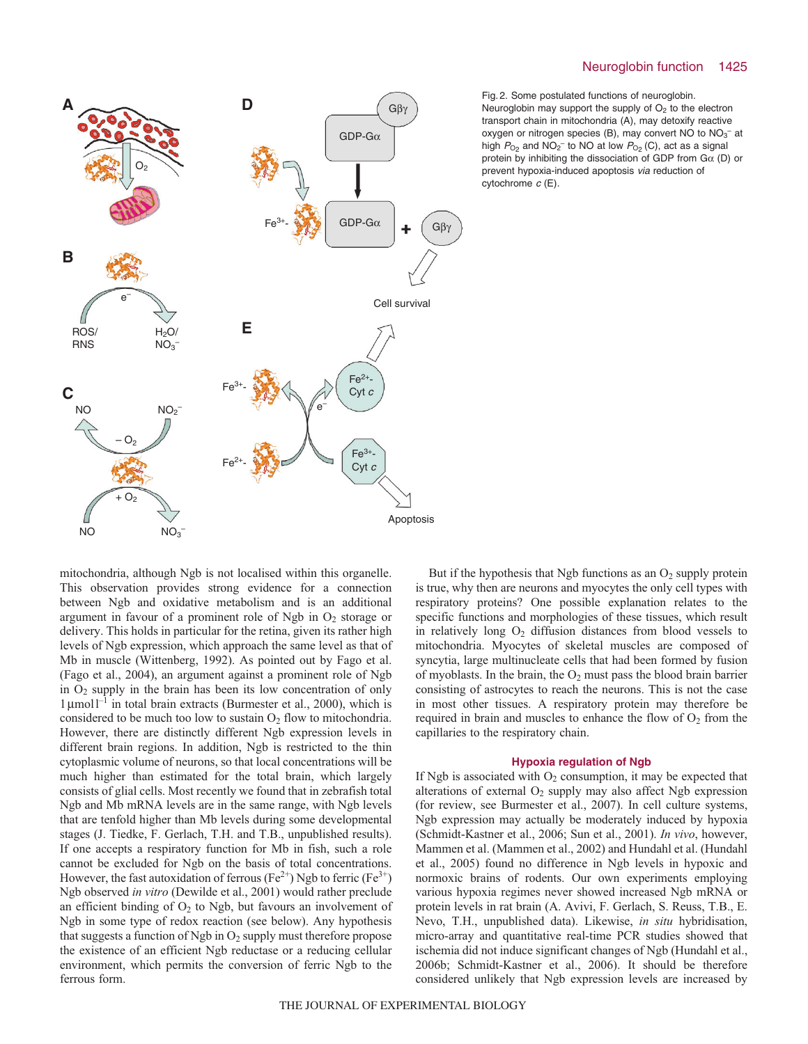### Neuroglobin function 1425



Fig. 2. Some postulated functions of neuroglobin. Neuroglobin may support the supply of  $O<sub>2</sub>$  to the electron transport chain in mitochondria (A), may detoxify reactive oxygen or nitrogen species (B), may convert NO to  $NO_3^-$  at high  $P_{\text{O}_2}$  and NO<sub>2</sub><sup>-</sup> to NO at low  $P_{\text{O}_2}$  (C), act as a signal protein by inhibiting the dissociation of GDP from  $G\alpha$  (D) or prevent hypoxia-induced apoptosis via reduction of cytochrome  $c$  (E).

mitochondria, although Ngb is not localised within this organelle. This observation provides strong evidence for a connection between Ngb and oxidative metabolism and is an additional argument in favour of a prominent role of Ngb in  $O<sub>2</sub>$  storage or delivery. This holds in particular for the retina, given its rather high levels of Ngb expression, which approach the same level as that of Mb in muscle (Wittenberg, 1992). As pointed out by Fago et al. (Fago et al., 2004), an argument against a prominent role of Ngb in O2 supply in the brain has been its low concentration of only  $1 \mu$ moll<sup>-1</sup> in total brain extracts (Burmester et al., 2000), which is considered to be much too low to sustain  $O_2$  flow to mitochondria. However, there are distinctly different Ngb expression levels in different brain regions. In addition, Ngb is restricted to the thin cytoplasmic volume of neurons, so that local concentrations will be much higher than estimated for the total brain, which largely consists of glial cells. Most recently we found that in zebrafish total Ngb and Mb mRNA levels are in the same range, with Ngb levels that are tenfold higher than Mb levels during some developmental stages (J. Tiedke, F. Gerlach, T.H. and T.B., unpublished results). If one accepts a respiratory function for Mb in fish, such a role cannot be excluded for Ngb on the basis of total concentrations. However, the fast autoxidation of ferrous (Fe<sup>2+</sup>) Ngb to ferric (Fe<sup>3+</sup>) Ngb observed *in vitro* (Dewilde et al., 2001) would rather preclude an efficient binding of  $O<sub>2</sub>$  to Ngb, but favours an involvement of Ngb in some type of redox reaction (see below). Any hypothesis that suggests a function of Ngb in  $O_2$  supply must therefore propose the existence of an efficient Ngb reductase or a reducing cellular environment, which permits the conversion of ferric Ngb to the ferrous form.

But if the hypothesis that Ngb functions as an  $O_2$  supply protein is true, why then are neurons and myocytes the only cell types with respiratory proteins? One possible explanation relates to the specific functions and morphologies of these tissues, which result in relatively long  $O_2$  diffusion distances from blood vessels to mitochondria. Myocytes of skeletal muscles are composed of syncytia, large multinucleate cells that had been formed by fusion of myoblasts. In the brain, the  $O_2$  must pass the blood brain barrier consisting of astrocytes to reach the neurons. This is not the case in most other tissues. A respiratory protein may therefore be required in brain and muscles to enhance the flow of  $O<sub>2</sub>$  from the capillaries to the respiratory chain.

## **Hypoxia regulation of Ngb**

If Ngb is associated with  $O_2$  consumption, it may be expected that alterations of external  $O_2$  supply may also affect Ngb expression (for review, see Burmester et al., 2007). In cell culture systems, Ngb expression may actually be moderately induced by hypoxia (Schmidt-Kastner et al., 2006; Sun et al., 2001). *In vivo*, however, Mammen et al. (Mammen et al., 2002) and Hundahl et al. (Hundahl et al., 2005) found no difference in Ngb levels in hypoxic and normoxic brains of rodents. Our own experiments employing various hypoxia regimes never showed increased Ngb mRNA or protein levels in rat brain (A. Avivi, F. Gerlach, S. Reuss, T.B., E. Nevo, T.H., unpublished data). Likewise, *in situ* hybridisation, micro-array and quantitative real-time PCR studies showed that ischemia did not induce significant changes of Ngb (Hundahl et al., 2006b; Schmidt-Kastner et al., 2006). It should be therefore considered unlikely that Ngb expression levels are increased by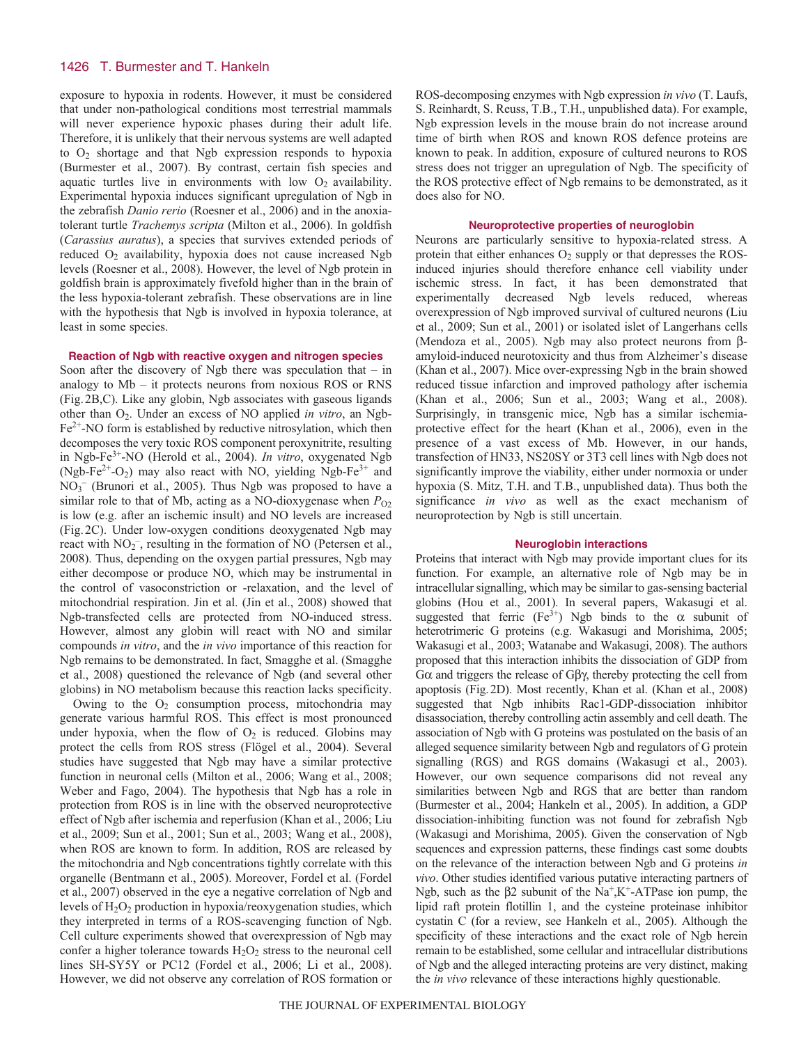## 1426 T. Burmester and T. Hankeln

exposure to hypoxia in rodents. However, it must be considered that under non-pathological conditions most terrestrial mammals will never experience hypoxic phases during their adult life. Therefore, it is unlikely that their nervous systems are well adapted to  $O_2$  shortage and that Ngb expression responds to hypoxia (Burmester et al., 2007). By contrast, certain fish species and aquatic turtles live in environments with low  $O_2$  availability. Experimental hypoxia induces significant upregulation of Ngb in the zebrafish *Danio rerio* (Roesner et al., 2006) and in the anoxiatolerant turtle *Trachemys scripta* (Milton et al., 2006). In goldfish (*Carassius auratus*), a species that survives extended periods of reduced O<sub>2</sub> availability, hypoxia does not cause increased Ngb levels (Roesner et al., 2008). However, the level of Ngb protein in goldfish brain is approximately fivefold higher than in the brain of the less hypoxia-tolerant zebrafish. These observations are in line with the hypothesis that Ngb is involved in hypoxia tolerance, at least in some species.

## **Reaction of Ngb with reactive oxygen and nitrogen species**

Soon after the discovery of Ngb there was speculation that  $-$  in analogy to Mb – it protects neurons from noxious ROS or RNS (Fig.2B,C). Like any globin, Ngb associates with gaseous ligands other than O2. Under an excess of NO applied *in vitro*, an Ngb- $Fe<sup>2+</sup>$ -NO form is established by reductive nitrosylation, which then decomposes the very toxic ROS component peroxynitrite, resulting in Ngb-Fe3+-NO (Herold et al., 2004). *In vitro*, oxygenated Ngb (Ngb-Fe<sup>2+</sup>-O<sub>2</sub>) may also react with NO, yielding Ngb-Fe<sup>3+</sup> and NO3 – (Brunori et al., 2005). Thus Ngb was proposed to have a similar role to that of Mb, acting as a NO-dioxygenase when  $P_{O2}$ is low (e.g. after an ischemic insult) and NO levels are increased (Fig.2C). Under low-oxygen conditions deoxygenated Ngb may react with  $NO_2^-$ , resulting in the formation of NO (Petersen et al., 2008). Thus, depending on the oxygen partial pressures, Ngb may either decompose or produce NO, which may be instrumental in the control of vasoconstriction or -relaxation, and the level of mitochondrial respiration. Jin et al. (Jin et al., 2008) showed that Ngb-transfected cells are protected from NO-induced stress. However, almost any globin will react with NO and similar compounds *in vitro*, and the *in vivo* importance of this reaction for Ngb remains to be demonstrated. In fact, Smagghe et al. (Smagghe et al., 2008) questioned the relevance of Ngb (and several other globins) in NO metabolism because this reaction lacks specificity.

Owing to the  $O_2$  consumption process, mitochondria may generate various harmful ROS. This effect is most pronounced under hypoxia, when the flow of  $O<sub>2</sub>$  is reduced. Globins may protect the cells from ROS stress (Flögel et al., 2004). Several studies have suggested that Ngb may have a similar protective function in neuronal cells (Milton et al., 2006; Wang et al., 2008; Weber and Fago, 2004). The hypothesis that Ngb has a role in protection from ROS is in line with the observed neuroprotective effect of Ngb after ischemia and reperfusion (Khan et al., 2006; Liu et al., 2009; Sun et al., 2001; Sun et al., 2003; Wang et al., 2008), when ROS are known to form. In addition, ROS are released by the mitochondria and Ngb concentrations tightly correlate with this organelle (Bentmann et al., 2005). Moreover, Fordel et al. (Fordel et al., 2007) observed in the eye a negative correlation of Ngb and levels of  $H_2O_2$  production in hypoxia/reoxygenation studies, which they interpreted in terms of a ROS-scavenging function of Ngb. Cell culture experiments showed that overexpression of Ngb may confer a higher tolerance towards  $H_2O_2$  stress to the neuronal cell lines SH-SY5Y or PC12 (Fordel et al., 2006; Li et al., 2008). However, we did not observe any correlation of ROS formation or ROS-decomposing enzymes with Ngb expression *in vivo* (T. Laufs, S. Reinhardt, S. Reuss, T.B., T.H., unpublished data). For example, Ngb expression levels in the mouse brain do not increase around time of birth when ROS and known ROS defence proteins are known to peak. In addition, exposure of cultured neurons to ROS stress does not trigger an upregulation of Ngb. The specificity of the ROS protective effect of Ngb remains to be demonstrated, as it does also for NO.

#### **Neuroprotective properties of neuroglobin**

Neurons are particularly sensitive to hypoxia-related stress. A protein that either enhances  $O_2$  supply or that depresses the ROSinduced injuries should therefore enhance cell viability under ischemic stress. In fact, it has been demonstrated that experimentally decreased Ngb levels reduced, whereas overexpression of Ngb improved survival of cultured neurons (Liu et al., 2009; Sun et al., 2001) or isolated islet of Langerhans cells (Mendoza et al., 2005). Ngb may also protect neurons from βamyloid-induced neurotoxicity and thus from Alzheimer's disease (Khan et al., 2007). Mice over-expressing Ngb in the brain showed reduced tissue infarction and improved pathology after ischemia (Khan et al., 2006; Sun et al., 2003; Wang et al., 2008). Surprisingly, in transgenic mice, Ngb has a similar ischemiaprotective effect for the heart (Khan et al., 2006), even in the presence of a vast excess of Mb. However, in our hands, transfection of HN33, NS20SY or 3T3 cell lines with Ngb does not significantly improve the viability, either under normoxia or under hypoxia (S. Mitz, T.H. and T.B., unpublished data). Thus both the significance *in vivo* as well as the exact mechanism of neuroprotection by Ngb is still uncertain.

#### **Neuroglobin interactions**

Proteins that interact with Ngb may provide important clues for its function. For example, an alternative role of Ngb may be in intracellular signalling, which may be similar to gas-sensing bacterial globins (Hou et al., 2001). In several papers, Wakasugi et al. suggested that ferric (Fe<sup>3+</sup>) Ngb binds to the  $\alpha$  subunit of heterotrimeric G proteins (e.g. Wakasugi and Morishima, 2005; Wakasugi et al., 2003; Watanabe and Wakasugi, 2008). The authors proposed that this interaction inhibits the dissociation of GDP from Gα and triggers the release of Gβγ, thereby protecting the cell from apoptosis (Fig.2D). Most recently, Khan et al. (Khan et al., 2008) suggested that Ngb inhibits Rac1-GDP-dissociation inhibitor disassociation, thereby controlling actin assembly and cell death. The association of Ngb with G proteins was postulated on the basis of an alleged sequence similarity between Ngb and regulators of G protein signalling (RGS) and RGS domains (Wakasugi et al., 2003). However, our own sequence comparisons did not reveal any similarities between Ngb and RGS that are better than random (Burmester et al., 2004; Hankeln et al., 2005). In addition, a GDP dissociation-inhibiting function was not found for zebrafish Ngb (Wakasugi and Morishima, 2005). Given the conservation of Ngb sequences and expression patterns, these findings cast some doubts on the relevance of the interaction between Ngb and G proteins *in vivo*. Other studies identified various putative interacting partners of Ngb, such as the  $\beta$ 2 subunit of the Na<sup>+</sup>,K<sup>+</sup>-ATPase ion pump, the lipid raft protein flotillin 1, and the cysteine proteinase inhibitor cystatin C (for a review, see Hankeln et al., 2005). Although the specificity of these interactions and the exact role of Ngb herein remain to be established, some cellular and intracellular distributions of Ngb and the alleged interacting proteins are very distinct, making the *in vivo* relevance of these interactions highly questionable.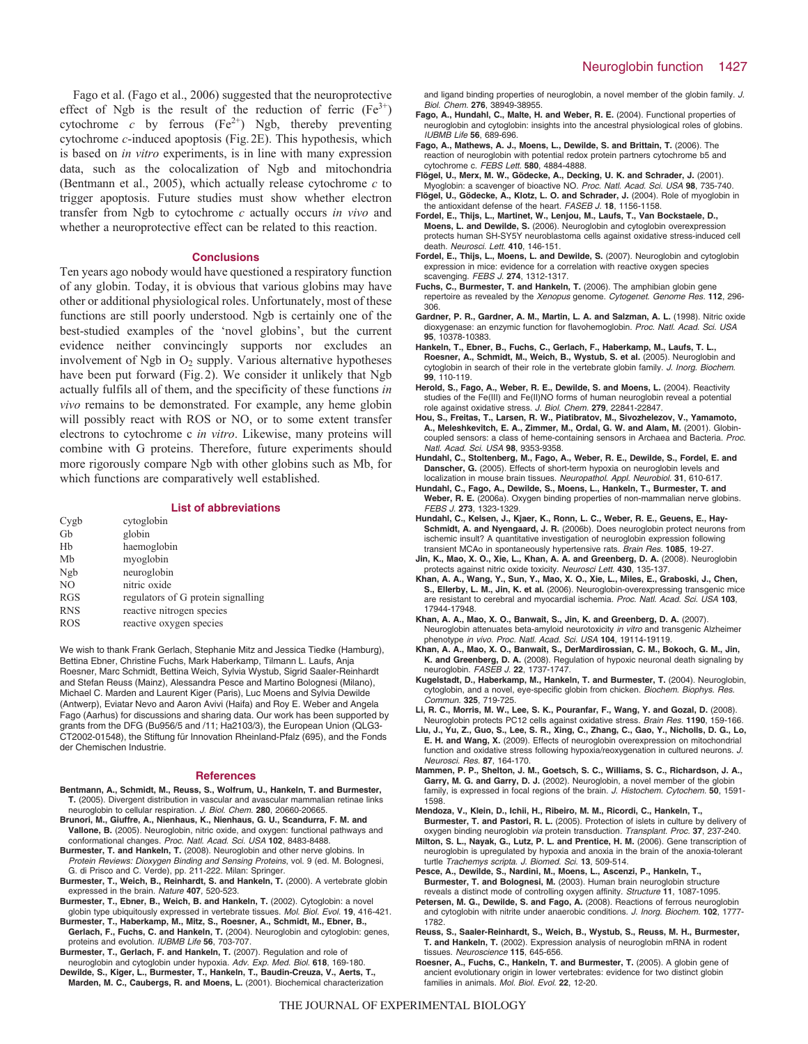Fago et al. (Fago et al., 2006) suggested that the neuroprotective effect of Ngb is the result of the reduction of ferric  $(Fe^{3+})$ cytochrome *c* by ferrous  $(Fe^{2+})$  Ngb, thereby preventing cytochrome *c*-induced apoptosis (Fig.2E). This hypothesis, which is based on *in vitro* experiments, is in line with many expression data, such as the colocalization of Ngb and mitochondria (Bentmann et al., 2005), which actually release cytochrome *c* to trigger apoptosis. Future studies must show whether electron transfer from Ngb to cytochrome *c* actually occurs *in vivo* and whether a neuroprotective effect can be related to this reaction.

#### **Conclusions**

Ten years ago nobody would have questioned a respiratory function of any globin. Today, it is obvious that various globins may have other or additional physiological roles. Unfortunately, most of these functions are still poorly understood. Ngb is certainly one of the best-studied examples of the 'novel globins', but the current evidence neither convincingly supports nor excludes an involvement of Ngb in  $O_2$  supply. Various alternative hypotheses have been put forward (Fig.2). We consider it unlikely that Ngb actually fulfils all of them, and the specificity of these functions *in vivo* remains to be demonstrated. For example, any heme globin will possibly react with ROS or NO, or to some extent transfer electrons to cytochrome c *in vitro*. Likewise, many proteins will combine with G proteins. Therefore, future experiments should more rigorously compare Ngb with other globins such as Mb, for which functions are comparatively well established.

## **List of abbreviations**

| Cygb           | cytoglobin                         |
|----------------|------------------------------------|
| Gb             | globin                             |
| Hb             | haemoglobin                        |
| Mb             | myoglobin                          |
| Ngb            | neuroglobin                        |
| N <sub>O</sub> | nitric oxide                       |
| <b>RGS</b>     | regulators of G protein signalling |
| <b>RNS</b>     | reactive nitrogen species          |
| <b>ROS</b>     | reactive oxygen species            |

We wish to thank Frank Gerlach, Stephanie Mitz and Jessica Tiedke (Hamburg), Bettina Ebner, Christine Fuchs, Mark Haberkamp, Tilmann L. Laufs, Anja Roesner, Marc Schmidt, Bettina Weich, Sylvia Wystub, Sigrid Saaler-Reinhardt and Stefan Reuss (Mainz), Alessandra Pesce and Martino Bolognesi (Milano), Michael C. Marden and Laurent Kiger (Paris), Luc Moens and Sylvia Dewilde (Antwerp), Eviatar Nevo and Aaron Avivi (Haifa) and Roy E. Weber and Angela Fago (Aarhus) for discussions and sharing data. Our work has been supported by grants from the DFG (Bu956/5 and /11; Ha2103/3), the European Union (QLG3- CT2002-01548), the Stiftung für Innovation Rheinland-Pfalz (695), and the Fonds der Chemischen Industrie.

#### **References**

- **Bentmann, A., Schmidt, M., Reuss, S., Wolfrum, U., Hankeln, T. and Burmester, T.** (2005). Divergent distribution in vascular and avascular mammalian retinae links neuroglobin to cellular respiration. J. Biol. Chem. **280**, 20660-20665.
- **Brunori, M., Giuffre, A., Nienhaus, K., Nienhaus, G. U., Scandurra, F. M. and Vallone, B.** (2005). Neuroglobin, nitric oxide, and oxygen: functional pathways and conformational changes. Proc. Natl. Acad. Sci. USA **102**, 8483-8488.
- **Burmester, T. and Hankeln, T.** (2008). Neuroglobin and other nerve globins. In Protein Reviews: Dioxygen Binding and Sensing Proteins, vol. 9 (ed. M. Bolognesi,
- G. di Prisco and C. Verde), pp. 211-222. Milan: Springer. **Burmester, T., Weich, B., Reinhardt, S. and Hankeln, T.** (2000). A vertebrate globin expressed in the brain. Nature **407**, 520-523.
- **Burmester, T., Ebner, B., Weich, B. and Hankeln, T.** (2002). Cytoglobin: a novel globin type ubiquitously expressed in vertebrate tissues. Mol. Biol. Evol. **19**, 416-421.
- **Burmester, T., Haberkamp, M., Mitz, S., Roesner, A., Schmidt, M., Ebner, B., Gerlach, F., Fuchs, C. and Hankeln, T.** (2004). Neuroglobin and cytoglobin: genes,
- proteins and evolution. IUBMB Life **56**, 703-707. **Burmester, T., Gerlach, F. and Hankeln, T.** (2007). Regulation and role of neuroglobin and cytoglobin under hypoxia. Adv. Exp. Med. Biol. **618**, 169-180.
- **Dewilde, S., Kiger, L., Burmester, T., Hankeln, T., Baudin-Creuza, V., Aerts, T., Marden, M. C., Caubergs, R. and Moens, L.** (2001). Biochemical characterization

and ligand binding properties of neuroglobin, a novel member of the globin family. J. Biol. Chem. **276**, 38949-38955.

- **Fago, A., Hundahl, C., Malte, H. and Weber, R. E.** (2004). Functional properties of neuroglobin and cytoglobin: insights into the ancestral physiological roles of globins. IUBMB Life **56**, 689-696.
- **Fago, A., Mathews, A. J., Moens, L., Dewilde, S. and Brittain, T.** (2006). The reaction of neuroglobin with potential redox protein partners cytochrome b5 and cytochrome c. FEBS Lett. **580**, 4884-4888.
- **Flögel, U., Merx, M. W., Gödecke, A., Decking, U. K. and Schrader, J.** (2001). Myoglobin: a scavenger of bioactive NO. Proc. Natl. Acad. Sci. USA **98**, 735-740.
- **Flögel, U., Gödecke, A., Klotz, L. O. and Schrader, J.** (2004). Role of myoglobin in the antioxidant defense of the heart. FASEB J. **18**, 1156-1158.
- **Fordel, E., Thijs, L., Martinet, W., Lenjou, M., Laufs, T., Van Bockstaele, D., Moens, L. and Dewilde, S.** (2006). Neuroglobin and cytoglobin overexpression protects human SH-SY5Y neuroblastoma cells against oxidative stress-induced cell death. Neurosci. Lett. **410**, 146-151.
- **Fordel, E., Thijs, L., Moens, L. and Dewilde, S.** (2007). Neuroglobin and cytoglobin expression in mice: evidence for a correlation with reactive oxygen species scavenging. FEBS J. **274**, 1312-1317.
- **Fuchs, C., Burmester, T. and Hankeln, T.** (2006). The amphibian globin gene repertoire as revealed by the Xenopus genome. Cytogenet. Genome Res. **112**, 296- 306.
- **Gardner, P. R., Gardner, A. M., Martin, L. A. and Salzman, A. L.** (1998). Nitric oxide dioxygenase: an enzymic function for flavohemoglobin. Proc. Natl. Acad. Sci. USA **95**, 10378-10383.
- **Hankeln, T., Ebner, B., Fuchs, C., Gerlach, F., Haberkamp, M., Laufs, T. L., Roesner, A., Schmidt, M., Weich, B., Wystub, S. et al.** (2005). Neuroglobin and cytoglobin in search of their role in the vertebrate globin family. J. Inorg. Biochem. **99**, 110-119.
- **Herold, S., Fago, A., Weber, R. E., Dewilde, S. and Moens, L.** (2004). Reactivity studies of the Fe(III) and Fe(II)NO forms of human neuroglobin reveal a potential role against oxidative stress. J. Biol. Chem. **279**, 22841-22847.
- **Hou, S., Freitas, T., Larsen, R. W., Piatibratov, M., Sivozhelezov, V., Yamamoto, A., Meleshkevitch, E. A., Zimmer, M., Ordal, G. W. and Alam, M.** (2001). Globincoupled sensors: a class of heme-containing sensors in Archaea and Bacteria. Proc. Natl. Acad. Sci. USA **98**, 9353-9358.
- **Hundahl, C., Stoltenberg, M., Fago, A., Weber, R. E., Dewilde, S., Fordel, E. and Danscher, G.** (2005). Effects of short-term hypoxia on neuroglobin levels and localization in mouse brain tissues. Neuropathol. Appl. Neurobiol. **31**, 610-617.
- **Hundahl, C., Fago, A., Dewilde, S., Moens, L., Hankeln, T., Burmester, T. and Weber, R. E.** (2006a). Oxygen binding properties of non-mammalian nerve globins. FEBS J. **273**, 1323-1329.
- **Hundahl, C., Kelsen, J., Kjaer, K., Ronn, L. C., Weber, R. E., Geuens, E., Hay-Schmidt, A. and Nyengaard, J. R.** (2006b). Does neuroglobin protect neurons from ischemic insult? A quantitative investigation of neuroglobin expression following transient MCAo in spontaneously hypertensive rats. Brain Res. **1085**, 19-27.
- **Jin, K., Mao, X. O., Xie, L., Khan, A. A. and Greenberg, D. A.** (2008). Neuroglobin protects against nitric oxide toxicity. Neurosci Lett. **430**, 135-137.
- **Khan, A. A., Wang, Y., Sun, Y., Mao, X. O., Xie, L., Miles, E., Graboski, J., Chen, S., Ellerby, L. M., Jin, K. et al.** (2006). Neuroglobin-overexpressing transgenic mice are resistant to cerebral and myocardial ischemia. Proc. Natl. Acad. Sci. USA **103**, 17944-17948.
- **Khan, A. A., Mao, X. O., Banwait, S., Jin, K. and Greenberg, D. A.** (2007). Neuroglobin attenuates beta-amyloid neurotoxicity in vitro and transgenic Alzheimer phenotype in vivo. Proc. Natl. Acad. Sci. USA **104**, 19114-19119.
- **Khan, A. A., Mao, X. O., Banwait, S., DerMardirossian, C. M., Bokoch, G. M., Jin, K. and Greenberg, D. A.** (2008). Regulation of hypoxic neuronal death signaling by neuroglobin. FASEB J. **22**, 1737-1747.
- **Kugelstadt, D., Haberkamp, M., Hankeln, T. and Burmester, T.** (2004). Neuroglobin, cytoglobin, and a novel, eye-specific globin from chicken. Biochem. Biophys. Res. Commun. **325**, 719-725.
- **Li, R. C., Morris, M. W., Lee, S. K., Pouranfar, F., Wang, Y. and Gozal, D.** (2008). Neuroglobin protects PC12 cells against oxidative stress. Brain Res. **1190**, 159-166.
- **Liu, J., Yu, Z., Guo, S., Lee, S. R., Xing, C., Zhang, C., Gao, Y., Nicholls, D. G., Lo, E. H. and Wang, X.** (2009). Effects of neuroglobin overexpression on mitochondrial function and oxidative stress following hypoxia/reoxygenation in cultured neurons. J. Neurosci. Res. **87**, 164-170.
- **Mammen, P. P., Shelton, J. M., Goetsch, S. C., Williams, S. C., Richardson, J. A., Garry, M. G. and Garry, D. J.** (2002). Neuroglobin, a novel member of the globin family, is expressed in focal regions of the brain. J. Histochem. Cytochem. **50**, 1591- 1598.
- **Mendoza, V., Klein, D., Ichii, H., Ribeiro, M. M., Ricordi, C., Hankeln, T., Burmester, T. and Pastori, R. L.** (2005). Protection of islets in culture by delivery of oxygen binding neuroglobin via protein transduction. Transplant. Proc. **37**, 237-240.
- **Milton, S. L., Nayak, G., Lutz, P. L. and Prentice, H. M.** (2006). Gene transcription of neuroglobin is upregulated by hypoxia and anoxia in the brain of the anoxia-tolerant turtle Trachemys scripta. J. Biomed. Sci. **13**, 509-514.
- **Pesce, A., Dewilde, S., Nardini, M., Moens, L., Ascenzi, P., Hankeln, T., Burmester, T. and Bolognesi, M.** (2003). Human brain neuroglobin structure reveals a distinct mode of controlling oxygen affinity. Structure **11**, 1087-1095.
- **Petersen, M. G., Dewilde, S. and Fago, A.** (2008). Reactions of ferrous neuroglobin and cytoglobin with nitrite under anaerobic conditions. J. Inorg. Biochem. **102**, 1777- 1782.
- **Reuss, S., Saaler-Reinhardt, S., Weich, B., Wystub, S., Reuss, M. H., Burmester, T. and Hankeln, T.** (2002). Expression analysis of neuroglobin mRNA in rodent tissues. Neuroscience **115**, 645-656.
- **Roesner, A., Fuchs, C., Hankeln, T. and Burmester, T.** (2005). A globin gene of ancient evolutionary origin in lower vertebrates: evidence for two distinct globin families in animals. Mol. Biol. Evol. **22**, 12-20.